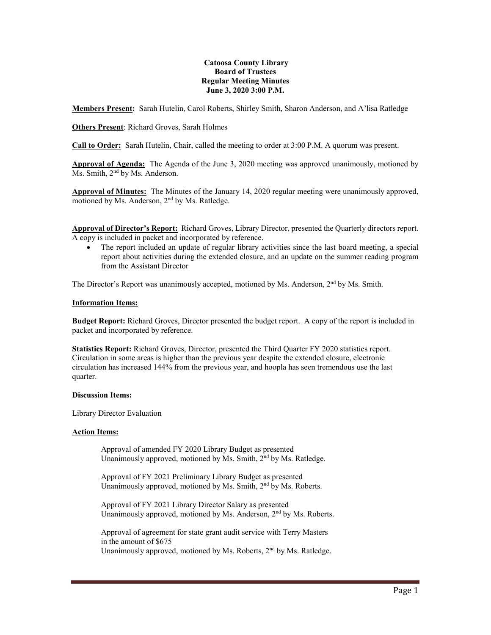#### **Catoosa County Library Board of Trustees Regular Meeting Minutes June 3, 2020 3:00 P.M.**

**Members Present:** Sarah Hutelin, Carol Roberts, Shirley Smith, Sharon Anderson, and A'lisa Ratledge

# **Others Present**: Richard Groves, Sarah Holmes

**Call to Order:** Sarah Hutelin, Chair, called the meeting to order at 3:00 P.M. A quorum was present.

**Approval of Agenda:** The Agenda of the June 3, 2020 meeting was approved unanimously, motioned by Ms. Smith, 2<sup>nd</sup> by Ms. Anderson.

**Approval of Minutes:** The Minutes of the January 14, 2020 regular meeting were unanimously approved, motioned by Ms. Anderson, 2nd by Ms. Ratledge.

**Approval of Director's Report:** Richard Groves, Library Director, presented the Quarterly directors report. A copy is included in packet and incorporated by reference.

• The report included an update of regular library activities since the last board meeting, a special report about activities during the extended closure, and an update on the summer reading program from the Assistant Director

The Director's Report was unanimously accepted, motioned by Ms. Anderson,  $2<sup>nd</sup>$  by Ms. Smith.

#### **Information Items:**

**Budget Report:** Richard Groves, Director presented the budget report. A copy of the report is included in packet and incorporated by reference.

**Statistics Report:** Richard Groves, Director, presented the Third Quarter FY 2020 statistics report. Circulation in some areas is higher than the previous year despite the extended closure, electronic circulation has increased 144% from the previous year, and hoopla has seen tremendous use the last quarter.

## **Discussion Items:**

Library Director Evaluation

## **Action Items:**

Approval of amended FY 2020 Library Budget as presented Unanimously approved, motioned by Ms. Smith, 2<sup>nd</sup> by Ms. Ratledge.

Approval of FY 2021 Preliminary Library Budget as presented Unanimously approved, motioned by Ms. Smith, 2<sup>nd</sup> by Ms. Roberts.

Approval of FY 2021 Library Director Salary as presented Unanimously approved, motioned by Ms. Anderson, 2<sup>nd</sup> by Ms. Roberts.

Approval of agreement for state grant audit service with Terry Masters in the amount of \$675 Unanimously approved, motioned by Ms. Roberts, 2<sup>nd</sup> by Ms. Ratledge.